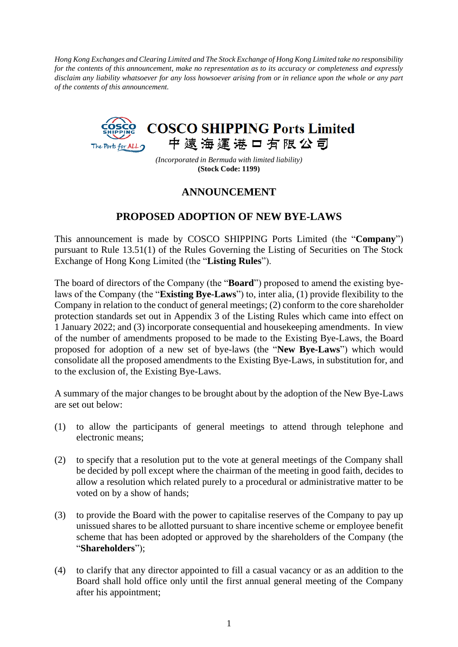*Hong Kong Exchanges and Clearing Limited and The Stock Exchange of Hong Kong Limited take no responsibility for the contents of this announcement, make no representation as to its accuracy or completeness and expressly disclaim any liability whatsoever for any loss howsoever arising from or in reliance upon the whole or any part of the contents of this announcement.*



*(Incorporated in Bermuda with limited liability)* **(Stock Code: 1199)**

## **ANNOUNCEMENT**

## **PROPOSED ADOPTION OF NEW BYE-LAWS**

This announcement is made by COSCO SHIPPING Ports Limited (the "**Company**") pursuant to Rule 13.51(1) of the Rules Governing the Listing of Securities on The Stock Exchange of Hong Kong Limited (the "**Listing Rules**").

The board of directors of the Company (the "**Board**") proposed to amend the existing byelaws of the Company (the "**Existing Bye-Laws**") to, inter alia, (1) provide flexibility to the Company in relation to the conduct of general meetings; (2) conform to the core shareholder protection standards set out in Appendix 3 of the Listing Rules which came into effect on 1 January 2022; and (3) incorporate consequential and housekeeping amendments. In view of the number of amendments proposed to be made to the Existing Bye-Laws, the Board proposed for adoption of a new set of bye-laws (the "**New Bye-Laws**") which would consolidate all the proposed amendments to the Existing Bye-Laws, in substitution for, and to the exclusion of, the Existing Bye-Laws.

A summary of the major changes to be brought about by the adoption of the New Bye-Laws are set out below:

- (1) to allow the participants of general meetings to attend through telephone and electronic means;
- (2) to specify that a resolution put to the vote at general meetings of the Company shall be decided by poll except where the chairman of the meeting in good faith, decides to allow a resolution which related purely to a procedural or administrative matter to be voted on by a show of hands;
- (3) to provide the Board with the power to capitalise reserves of the Company to pay up unissued shares to be allotted pursuant to share incentive scheme or employee benefit scheme that has been adopted or approved by the shareholders of the Company (the "**Shareholders**");
- (4) to clarify that any director appointed to fill a casual vacancy or as an addition to the Board shall hold office only until the first annual general meeting of the Company after his appointment;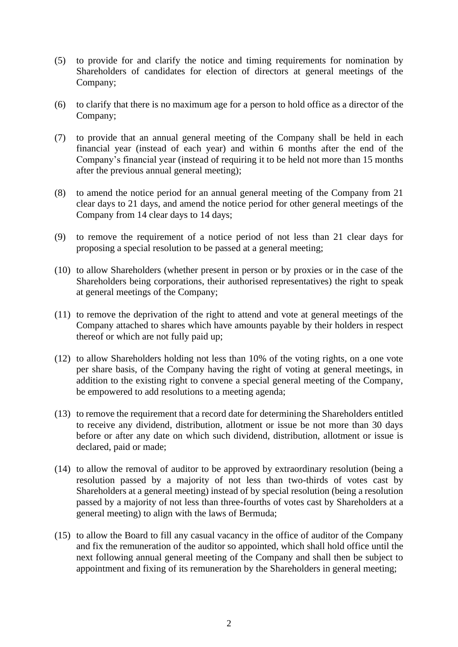- (5) to provide for and clarify the notice and timing requirements for nomination by Shareholders of candidates for election of directors at general meetings of the Company;
- (6) to clarify that there is no maximum age for a person to hold office as a director of the Company;
- (7) to provide that an annual general meeting of the Company shall be held in each financial year (instead of each year) and within 6 months after the end of the Company's financial year (instead of requiring it to be held not more than 15 months after the previous annual general meeting);
- (8) to amend the notice period for an annual general meeting of the Company from 21 clear days to 21 days, and amend the notice period for other general meetings of the Company from 14 clear days to 14 days;
- (9) to remove the requirement of a notice period of not less than 21 clear days for proposing a special resolution to be passed at a general meeting;
- (10) to allow Shareholders (whether present in person or by proxies or in the case of the Shareholders being corporations, their authorised representatives) the right to speak at general meetings of the Company;
- (11) to remove the deprivation of the right to attend and vote at general meetings of the Company attached to shares which have amounts payable by their holders in respect thereof or which are not fully paid up;
- (12) to allow Shareholders holding not less than 10% of the voting rights, on a one vote per share basis, of the Company having the right of voting at general meetings, in addition to the existing right to convene a special general meeting of the Company, be empowered to add resolutions to a meeting agenda;
- (13) to remove the requirement that a record date for determining the Shareholders entitled to receive any dividend, distribution, allotment or issue be not more than 30 days before or after any date on which such dividend, distribution, allotment or issue is declared, paid or made;
- (14) to allow the removal of auditor to be approved by extraordinary resolution (being a resolution passed by a majority of not less than two-thirds of votes cast by Shareholders at a general meeting) instead of by special resolution (being a resolution passed by a majority of not less than three-fourths of votes cast by Shareholders at a general meeting) to align with the laws of Bermuda;
- (15) to allow the Board to fill any casual vacancy in the office of auditor of the Company and fix the remuneration of the auditor so appointed, which shall hold office until the next following annual general meeting of the Company and shall then be subject to appointment and fixing of its remuneration by the Shareholders in general meeting;